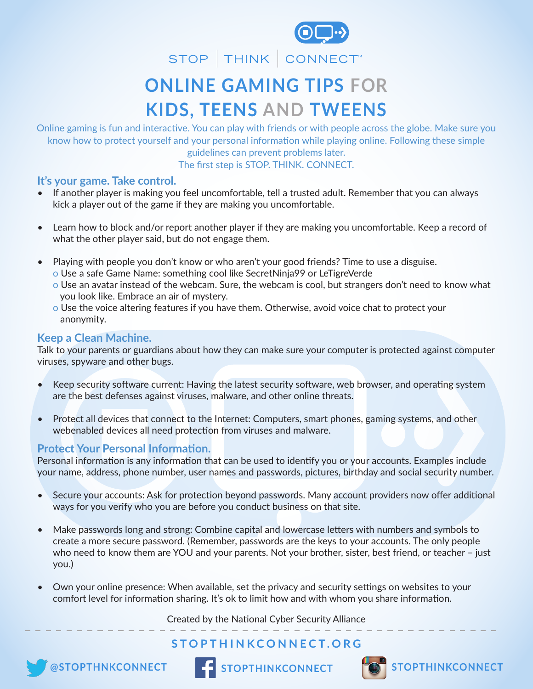

STOP | THINK | CONNECT

# **ONLINE GAMING TIPS FOR KIDS, TEENS AND TWEENS**

Online gaming is fun and interactive. You can play with friends or with people across the globe. Make sure you know how to protect yourself and your personal information while playing online. Following these simple guidelines can prevent problems later. The first step is STOP. THINK. CONNECT.

## **It's your game. Take control.**

- If another player is making you feel uncomfortable, tell a trusted adult. Remember that you can always kick a player out of the game if they are making you uncomfortable.
- Learn how to block and/or report another player if they are making you uncomfortable. Keep a record of what the other player said, but do not engage them.
- Playing with people you don't know or who aren't your good friends? Time to use a disguise.
	- o Use a safe Game Name: something cool like SecretNinja99 or LeTigreVerde
	- o Use an avatar instead of the webcam. Sure, the webcam is cool, but strangers don't need to know what you look like. Embrace an air of mystery.
	- o Use the voice altering features if you have them. Otherwise, avoid voice chat to protect your anonymity.

## **Keep a Clean Machine.**

Talk to your parents or guardians about how they can make sure your computer is protected against computer viruses, spyware and other bugs.

- Keep security software current: Having the latest security software, web browser, and operating system are the best defenses against viruses, malware, and other online threats.
- Protect all devices that connect to the Internet: Computers, smart phones, gaming systems, and other webenabled devices all need protection from viruses and malware.

## **Protect Your Personal Information.**

Personal information is any information that can be used to identify you or your accounts. Examples include your name, address, phone number, user names and passwords, pictures, birthday and social security number.

- Secure your accounts: Ask for protection beyond passwords. Many account providers now offer additional ways for you verify who you are before you conduct business on that site.
- Make passwords long and strong: Combine capital and lowercase letters with numbers and symbols to create a more secure password. (Remember, passwords are the keys to your accounts. The only people who need to know them are YOU and your parents. Not your brother, sister, best friend, or teacher - just you.)
- Own your online presence: When available, set the privacy and security settings on websites to your comfort level for information sharing. It's ok to limit how and with whom you share information.

Created by the National Cyber Security Alliance

# **STOPTHINKCONNECT.ORG**